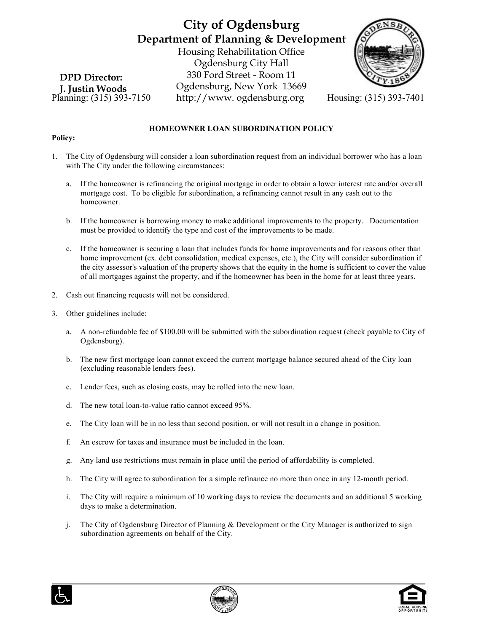# **City of Ogdensburg Department of Planning & Development** Housing Rehabilitation Office Ogdensburg City Hall 330 Ford Street - Room 11 Ogdensburg, New York 13669



Planning: (315) 393-7150 http://www. ogdensburg.org Housing: (315) 393-7401 **DPD Director: J. Justin Woods**

### **HOMEOWNER LOAN SUBORDINATION POLICY**

#### **Policy:**

- 1. The City of Ogdensburg will consider a loan subordination request from an individual borrower who has a loan with The City under the following circumstances:
	- a. If the homeowner is refinancing the original mortgage in order to obtain a lower interest rate and/or overall mortgage cost. To be eligible for subordination, a refinancing cannot result in any cash out to the homeowner.
	- b. If the homeowner is borrowing money to make additional improvements to the property. Documentation must be provided to identify the type and cost of the improvements to be made.
	- c. If the homeowner is securing a loan that includes funds for home improvements and for reasons other than home improvement (ex. debt consolidation, medical expenses, etc.), the City will consider subordination if the city assessor's valuation of the property shows that the equity in the home is sufficient to cover the value of all mortgages against the property, and if the homeowner has been in the home for at least three years.
- 2. Cash out financing requests will not be considered.
- 3. Other guidelines include:
	- a. A non-refundable fee of \$100.00 will be submitted with the subordination request (check payable to City of Ogdensburg).
	- b. The new first mortgage loan cannot exceed the current mortgage balance secured ahead of the City loan (excluding reasonable lenders fees).
	- c. Lender fees, such as closing costs, may be rolled into the new loan.
	- d. The new total loan-to-value ratio cannot exceed 95%.
	- e. The City loan will be in no less than second position, or will not result in a change in position.
	- f. An escrow for taxes and insurance must be included in the loan.
	- g. Any land use restrictions must remain in place until the period of affordability is completed.
	- h. The City will agree to subordination for a simple refinance no more than once in any 12-month period.
	- i. The City will require a minimum of 10 working days to review the documents and an additional 5 working days to make a determination.
	- j. The City of Ogdensburg Director of Planning & Development or the City Manager is authorized to sign subordination agreements on behalf of the City.